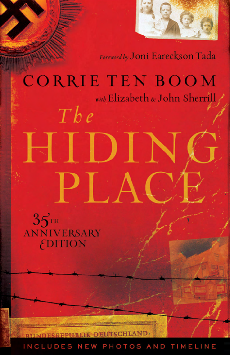

Foreword by Joni Eareckson Tada

## CORRIE TEN BOOM with Elizabeth & John Sherrill  $T b e$

35TH ANNIVERSARY

**RUNDESREPUBLIK DEUTSCHLAND** 

INCLUDES NEW PHOTOS AND TIMELINE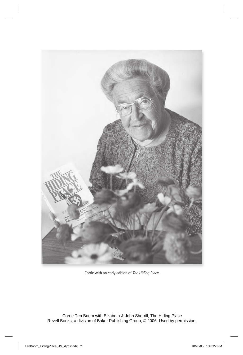

Corrie with an early edition of The Hiding Place.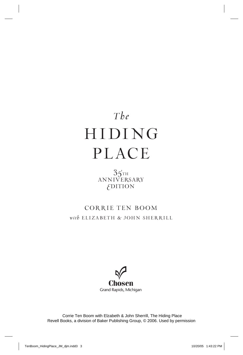# *The* HIDING **PLACE**

 $35$ th Anniversary **EDITION** 

### CORRIE TEN BOOM *with* ELIZABETH & JOHN SHERRILL



 Corrie Ten Boom with Elzabeth & John Sherrill, The Hiding Place Revell Books, a division of Baker Publishing Group, © 2006. Used by permission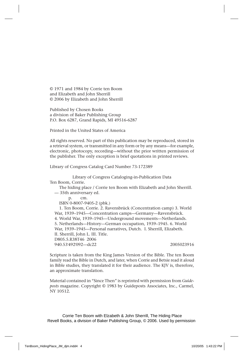© 1971 and 1984 by Corrie ten Boom and Elizabeth and John Sherrill © 2006 by Elizabeth and John Sherrill

Published by Chosen Books a division of Baker Publishing Group P.O. Box 6287, Grand Rapids, MI 49516-6287

Printed in the United States of America

All rights reserved. No part of this publication may be reproduced, stored in a retrieval system, or transmitted in any form or by any means—for example, electronic, photocopy, recording—without the prior written permission of the publisher. The only exception is brief quotations in printed reviews.

Library of Congress Catalog Card Number 73-172389

Library of Congress Cataloging-in-Publication Data Ten Boom, Corrie.

The hiding place / Corrie ten Boom with Elizabeth and John Sherrill. — 35th anniversary ed.

p. cm.

ISBN 0-8007-9405-2 (pbk.)

1. Ten Boom, Corrie. 2. Ravensbrück (Concentration camp) 3. World War, 1939–1945—Concentration camps—Germany—Ravensbrück. 4. World War, 1939–1945—Underground movements—Netherlands. 5. Netherlands—History—German occupation, 1939–1945. 6. World War, 1939–1945—Personal narratives, Dutch. I. Sherrill, Elizabeth. II. Sherrill, John L. III. Title. D805.5.R38T46 2006

940.53492092—dc22 2005023916

Scripture is taken from the King James Version of the Bible. The ten Boom family read the Bible in Dutch, and later, when Corrie and Betsie read it aloud in Bible studies, they translated it for their audience. The KJV is, therefore, an approximate translation.

Material contained in "Since Then" is reprinted with permission from *Guideposts* magazine. Copyright © 1983 by Guideposts Associates, Inc., Carmel, NY 10512.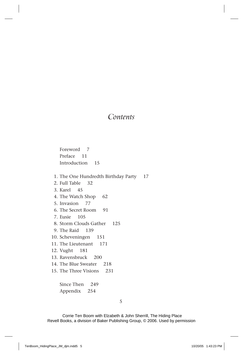### *Contents*

Foreword 7 Preface 11 Introduction 15

1. The One Hundredth Birthday Party 17

2. Full Table 32

3. Karel 45

4. The Watch Shop 62

5. Invasion 77

6. The Secret Room 91

7. Eusie 105

8. Storm Clouds Gather 125

9. The Raid 139

10. Scheveningen 151

11. The Lieutenant 171

12. Vught 181

13. Ravensbruck 200

14. The Blue Sweater 218

15. The Three Visions 231

Since Then 249 Appendix 254

5

 Corrie Ten Boom with Elzabeth & John Sherrill, The Hiding Place Revell Books, a division of Baker Publishing Group, © 2006. Used by permission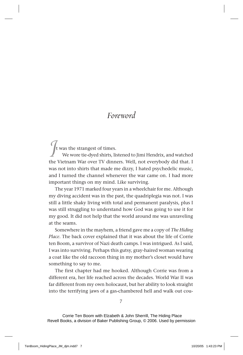### *Foreword*

 $t$  was the strangest of times. We wore tie-dyed shirts, listened to Jimi Hendrix, and watched the Vietnam War over TV dinners. Well, not everybody did that. I was not into shirts that made me dizzy, I hated psychedelic music, and I turned the channel whenever the war came on. I had more important things on my mind. Like surviving.

The year 1971 marked four years in a wheelchair for me. Although my diving accident was in the past, the quadriplegia was not. I was still a little shaky living with total and permanent paralysis, plus I was still struggling to understand how God was going to use it for my good. It did not help that the world around me was unraveling at the seams.

Somewhere in the mayhem, a friend gave me a copy of *The Hiding Place*. The back cover explained that it was about the life of Corrie ten Boom, a survivor of Nazi death camps. I was intrigued. As I said, I was into surviving. Perhaps this gutsy, gray-haired woman wearing a coat like the old raccoon thing in my mother's closet would have something to say to me.

The first chapter had me hooked. Although Corrie was from a different era, her life reached across the decades. World War II was far different from my own holocaust, but her ability to look straight into the terrifying jaws of a gas-chambered hell and walk out cou-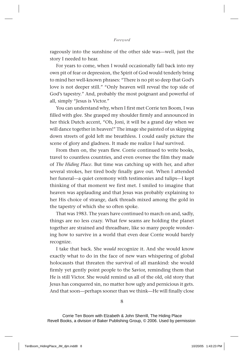#### *Foreword*

rageously into the sunshine of the other side was—well, just the story I needed to hear.

For years to come, when I would occasionally fall back into my own pit of fear or depression, the Spirit of God would tenderly bring to mind her well-known phrases: "There is no pit so deep that God's love is not deeper still." "Only heaven will reveal the top side of God's tapestry." And, probably the most poignant and powerful of all, simply "Jesus is Victor."

You can understand why, when I first met Corrie ten Boom, I was filled with glee. She grasped my shoulder firmly and announced in her thick Dutch accent, "Oh, Joni, it will be a grand day when we will dance together in heaven!" The image she painted of us skipping down streets of gold left me breathless. I could easily picture the scene of glory and gladness. It made me realize I *had* survived.

From then on, the years flew. Corrie continued to write books, travel to countless countries, and even oversee the film they made of *The Hiding Place.* But time was catching up with her, and after several strokes, her tired body finally gave out. When I attended her funeral—a quiet ceremony with testimonies and tulips—I kept thinking of that moment we first met. I smiled to imagine that heaven was applauding and that Jesus was probably explaining to her His choice of strange, dark threads mixed among the gold in the tapestry of which she so often spoke.

That was 1983. The years have continued to march on and, sadly, things are no less crazy. What few seams are holding the planet together are strained and threadbare, like so many people wondering how to survive in a world that even dear Corrie would barely recognize.

I take that back. She *would* recognize it. And she would know exactly what to do in the face of new wars whispering of global holocausts that threaten the survival of all mankind: she would firmly yet gently point people to the Savior, reminding them that He is still Victor. She would remind us all of the old, old story that Jesus has conquered sin, no matter how ugly and pernicious it gets. And that soon—perhaps sooner than we think—He will finally close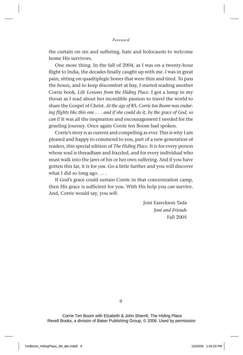#### *Foreword*

the curtain on sin and suffering, hate and holocausts to welcome home His survivors.

One more thing. In the fall of 2004, as I was on a twenty-hour flight to India, the decades finally caught up with me. I was in great pain, sitting on quadriplegic bones that were thin and tired. To pass the hours, and to keep discomfort at bay, I started reading another Corrie book, *Life Lessons from the Hiding Place*. I got a lump in my throat as I read about her incredible passion to travel the world to share the Gospel of Christ. *At the age of 85, Corrie ten Boom was enduring flights like this one . . . and if she could do it, by the grace of God, so can I!* It was all the inspiration and encouragement I needed for the grueling journey. Once again Corrie ten Boom had spoken.

Corrie's story is as current and compelling as ever. This is why I am pleased and happy to commend to you, part of a new generation of readers, this special edition of *The Hiding Place.* It is for every person whose soul is threadbare and frazzled, and for every individual who must walk into the jaws of his or her own suffering. And if you have gotten this far, it is for *you*. Go a little further and you will discover what I did so long ago. . . .

If God's grace could sustain Corrie in that concentration camp, then His grace is sufficient for you. With His help you *can* survive. And, Corrie would say, you *will.*

> Joni Eareckson Tada *Joni and Friends*  Fall 2005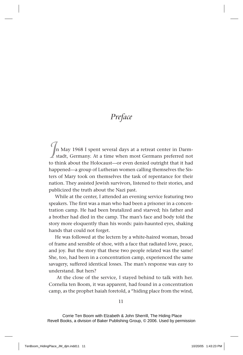### *Preface*

 $\ln$  May 1968 I spent several days at a retreat center in Darm- $\angle$  stadt, Germany. At a time when most Germans preferred not to think about the Holocaust—or even denied outright that it had happened—a group of Lutheran women calling themselves the Sisters of Mary took on themselves the task of repentance for their nation. They assisted Jewish survivors, listened to their stories, and publicized the truth about the Nazi past.

While at the center, I attended an evening service featuring two speakers. The first was a man who had been a prisoner in a concentration camp. He had been brutalized and starved; his father and a brother had died in the camp. The man's face and body told the story more eloquently than his words: pain-haunted eyes, shaking hands that could not forget.

He was followed at the lectern by a white-haired woman, broad of frame and sensible of shoe, with a face that radiated love, peace, and joy. But the story that these two people related was the same! She, too, had been in a concentration camp, experienced the same savagery, suffered identical losses. The man's response was easy to understand. But hers?

 At the close of the service, I stayed behind to talk with her. Cornelia ten Boom, it was apparent, had found in a concentration camp, as the prophet Isaiah foretold, a "hiding place from the wind,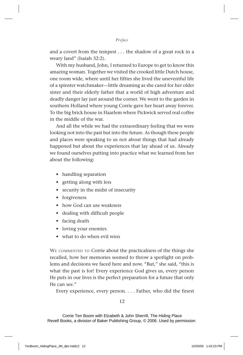and a covert from the tempest . . . the shadow of a great rock in a weary land" (Isaiah 32:2).

With my husband, John, I returned to Europe to get to know this amazing woman. Together we visited the crooked little Dutch house, one room wide, where until her fifties she lived the uneventful life of a spinster watchmaker—little dreaming as she cared for her older sister and their elderly father that a world of high adventure and deadly danger lay just around the corner. We went to the garden in southern Holland where young Corrie gave her heart away forever. To the big brick house in Haarlem where Pickwick served real coffee in the middle of the war.

And all the while we had the extraordinary feeling that we were looking not into the past but into the future. As though these people and places were speaking to us not about things that had already happened but about the experiences that lay ahead of us. Already we found ourselves putting into practice what we learned from her about the following:

- handling separation
- getting along with less
- security in the midst of insecurity
- forgiveness
- how God can use weakness
- dealing with difficult people
- facing death
- loving your enemies
- what to do when evil wins

WE COMMENTED TO Corrie about the practicalness of the things she recalled, how her memories seemed to throw a spotlight on problems and decisions we faced here and now. "But," she said, "this is what the past is for! Every experience God gives us, every person He puts in our lives is the perfect preparation for a future that only He can see."

Every experience, every person. . . . Father, who did the finest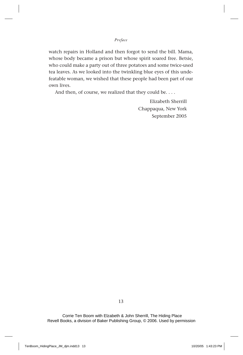#### *Preface*

watch repairs in Holland and then forgot to send the bill. Mama, whose body became a prison but whose spirit soared free. Betsie, who could make a party out of three potatoes and some twice-used tea leaves. As we looked into the twinkling blue eyes of this undefeatable woman, we wished that these people had been part of our own lives.

And then, of course, we realized that they could be. . . .

Elizabeth Sherrill Chappaqua, New York September 2005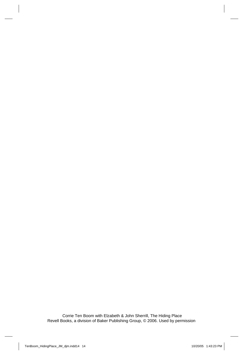Corrie Ten Boom with Elzabeth & John Sherrill, The Hiding Place Revell Books, a division of Baker Publishing Group, © 2006. Used by permission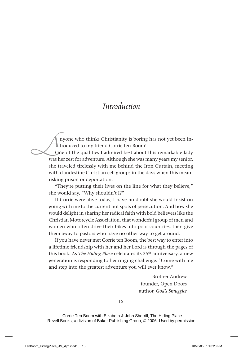### *Introduction*

*A*nyone who thinks Christianity is boring has not yet been introduced to my friend Corrie ten Boom!

One of the qualities I admired best about this remarkable lady was her zest for adventure. Although she was many years my senior, she traveled tirelessly with me behind the Iron Curtain, meeting with clandestine Christian cell groups in the days when this meant risking prison or deportation.

"They're putting their lives on the line for what they believe," she would say. "Why shouldn't I?"

If Corrie were alive today, I have no doubt she would insist on going with me to the current hot spots of persecution. And how she would delight in sharing her radical faith with bold believers like the Christian Motorcycle Association, that wonderful group of men and women who often drive their bikes into poor countries, then give them away to pastors who have no other way to get around.

If you have never met Corrie ten Boom, the best way to enter into a lifetime friendship with her and her Lord is through the pages of this book. As *The Hiding Place* celebrates its 35<sup>th</sup> anniversary, a new generation is responding to her ringing challenge: "Come with me and step into the greatest adventure you will ever know."

> Brother Andrew founder, Open Doors author, *God's Smuggler*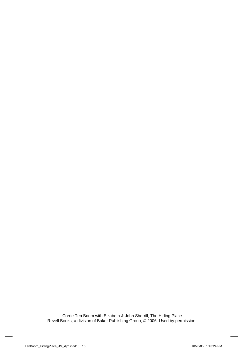Corrie Ten Boom with Elzabeth & John Sherrill, The Hiding Place Revell Books, a division of Baker Publishing Group, © 2006. Used by permission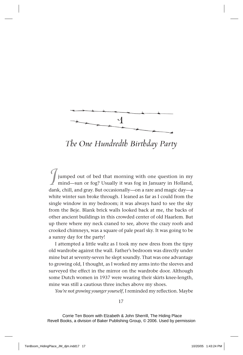

*The One Hundredth Birthday Party*

jumped out of bed that morning with one question in my mind—sun or fog? Usually it was fog in January in Holland, dank, chill, and gray. But occasionally—on a rare and magic day—a white winter sun broke through. I leaned as far as I could from the single window in my bedroom; it was always hard to see the sky from the Beje. Blank brick walls looked back at me, the backs of other ancient buildings in this crowded center of old Haarlem. But up there where my neck craned to see, above the crazy roofs and crooked chimneys, was a square of pale pearl sky. It was going to be a sunny day for the party!

I attempted a little waltz as I took my new dress from the tipsy old wardrobe against the wall. Father's bedroom was directly under mine but at seventy-seven he slept soundly. That was one advantage to growing old, I thought, as I worked my arms into the sleeves and surveyed the effect in the mirror on the wardrobe door. Although some Dutch women in 1937 were wearing their skirts knee-length, mine was still a cautious three inches above my shoes.

*You're not growing younger yourself*, I reminded my reflection. Maybe

Corrie Ten Boom with Elzabeth & John Sherrill, The Hiding Place Revell Books, a division of Baker Publishing Group, © 2006. Used by permission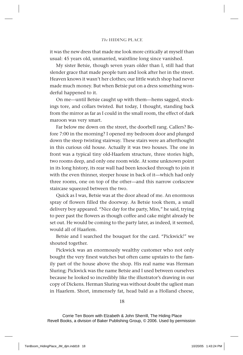it was the new dress that made me look more critically at myself than usual: 45 years old, unmarried, waistline long since vanished.

My sister Betsie, though seven years older than I, still had that slender grace that made people turn and look after her in the street. Heaven knows it wasn't her clothes; our little watch shop had never made much money. But when Betsie put on a dress something wonderful happened to it.

On me—until Betsie caught up with them—hems sagged, stockings tore, and collars twisted. But today, I thought, standing back from the mirror as far as I could in the small room, the effect of dark maroon was very smart.

Far below me down on the street, the doorbell rang. Callers? Before 7:00 in the morning? I opened my bedroom door and plunged down the steep twisting stairway. These stairs were an afterthought in this curious old house. Actually it was two houses. The one in front was a typical tiny old-Haarlem structure, three stories high, two rooms deep, and only one room wide. At some unknown point in its long history, its rear wall had been knocked through to join it with the even thinner, steeper house in back of it—which had only three rooms, one on top of the other—and this narrow corkscrew staircase squeezed between the two.

Quick as I was, Betsie was at the door ahead of me. An enormous spray of flowers filled the doorway. As Betsie took them, a small delivery boy appeared. "Nice day for the party, Miss," he said, trying to peer past the flowers as though coffee and cake might already be set out. He would be coming to the party later, as indeed, it seemed, would all of Haarlem.

Betsie and I searched the bouquet for the card. "Pickwick!" we shouted together.

Pickwick was an enormously wealthy customer who not only bought the very finest watches but often came upstairs to the family part of the house above the shop. His real name was Herman Sluring; Pickwick was the name Betsie and I used between ourselves because he looked so incredibly like the illustrator's drawing in our copy of Dickens. Herman Sluring was without doubt the ugliest man in Haarlem. Short, immensely fat, head bald as a Holland cheese,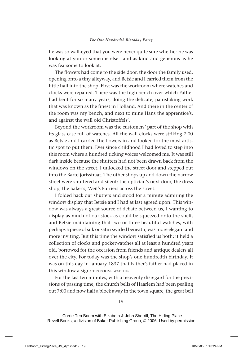he was so wall-eyed that you were never quite sure whether he was looking at you or someone else—and as kind and generous as he was fearsome to look at.

The flowers had come to the side door, the door the family used, opening onto a tiny alleyway, and Betsie and I carried them from the little hall into the shop. First was the workroom where watches and clocks were repaired. There was the high bench over which Father had bent for so many years, doing the delicate, painstaking work that was known as the finest in Holland. And there in the center of the room was my bench, and next to mine Hans the apprentice's, and against the wall old Christoffels'.

Beyond the workroom was the customers' part of the shop with its glass case full of watches. All the wall clocks were striking 7:00 as Betsie and I carried the flowers in and looked for the most artistic spot to put them. Ever since childhood I had loved to step into this room where a hundred ticking voices welcomed me. It was still dark inside because the shutters had not been drawn back from the windows on the street. I unlocked the street door and stepped out into the Barteljorisstraat. The other shops up and down the narrow street were shuttered and silent: the optician's next door, the dress shop, the baker's, Weil's Furriers across the street.

I folded back our shutters and stood for a minute admiring the window display that Betsie and I had at last agreed upon. This window was always a great source of debate between us, I wanting to display as much of our stock as could be squeezed onto the shelf, and Betsie maintaining that two or three beautiful watches, with perhaps a piece of silk or satin swirled beneath, was more elegant and more inviting. But this time the window satisfied us both: it held a collection of clocks and pocketwatches all at least a hundred years old, borrowed for the occasion from friends and antique dealers all over the city. For today was the shop's one hundredth birthday. It was on this day in January 1837 that Father's father had placed in this window a sign: TEN BOOM. WATCHES.

For the last ten minutes, with a heavenly disregard for the precisions of passing time, the church bells of Haarlem had been pealing out 7:00 and now half a block away in the town square, the great bell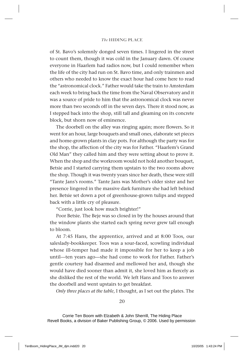#### *The* Hiding Place

of St. Bavo's solemnly donged seven times. I lingered in the street to count them, though it was cold in the January dawn. Of course everyone in Haarlem had radios now, but I could remember when the life of the city had run on St. Bavo time, and only trainmen and others who needed to know the exact hour had come here to read the "astronomical clock." Father would take the train to Amsterdam each week to bring back the time from the Naval Observatory and it was a source of pride to him that the astronomical clock was never more than two seconds off in the seven days. There it stood now, as I stepped back into the shop, still tall and gleaming on its concrete block, but shorn now of eminence.

The doorbell on the alley was ringing again; more flowers. So it went for an hour, large bouquets and small ones, elaborate set pieces and home-grown plants in clay pots. For although the party was for the shop, the affection of the city was for Father. "Haarlem's Grand Old Man" they called him and they were setting about to prove it. When the shop and the workroom would not hold another bouquet, Betsie and I started carrying them upstairs to the two rooms above the shop. Though it was twenty years since her death, these were still "Tante Jans's rooms." Tante Jans was Mother's older sister and her presence lingered in the massive dark furniture she had left behind her. Betsie set down a pot of greenhouse-grown tulips and stepped back with a little cry of pleasure.

"Corrie, just look how much brighter!"

Poor Betsie. The Beje was so closed in by the houses around that the window plants she started each spring never grew tall enough to bloom.

At 7:45 Hans, the apprentice, arrived and at 8:00 Toos, our saleslady-bookkeeper. Toos was a sour-faced, scowling individual whose ill-temper had made it impossible for her to keep a job until—ten years ago—she had come to work for Father. Father's gentle courtesy had disarmed and mellowed her and, though she would have died sooner than admit it, she loved him as fiercely as she disliked the rest of the world. We left Hans and Toos to answer the doorbell and went upstairs to get breakfast.

*Only three places at the table*, I thought, as I set out the plates. The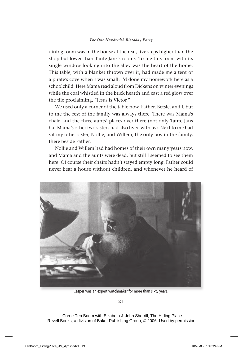dining room was in the house at the rear, five steps higher than the shop but lower than Tante Jans's rooms. To me this room with its single window looking into the alley was the heart of the home. This table, with a blanket thrown over it, had made me a tent or a pirate's cove when I was small. I'd done my homework here as a schoolchild. Here Mama read aloud from Dickens on winter evenings while the coal whistled in the brick hearth and cast a red glow over the tile proclaiming, "Jesus is Victor."

We used only a corner of the table now, Father, Betsie, and I, but to me the rest of the family was always there. There was Mama's chair, and the three aunts' places over there (not only Tante Jans but Mama's other two sisters had also lived with us). Next to me had sat my other sister, Nollie, and Willem, the only boy in the family, there beside Father.

Nollie and Willem had had homes of their own many years now, and Mama and the aunts were dead, but still I seemed to see them here. Of course their chairs hadn't stayed empty long. Father could never bear a house without children, and whenever he heard of



Casper was an expert watchmaker for more than sixty years.

21

 Corrie Ten Boom with Elzabeth & John Sherrill, The Hiding Place Revell Books, a division of Baker Publishing Group, © 2006. Used by permission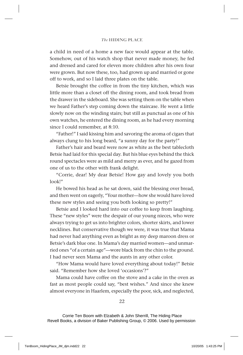a child in need of a home a new face would appear at the table. Somehow, out of his watch shop that never made money, he fed and dressed and cared for eleven more children after his own four were grown. But now these, too, had grown up and married or gone off to work, and so I laid three plates on the table.

Betsie brought the coffee in from the tiny kitchen, which was little more than a closet off the dining room, and took bread from the drawer in the sideboard. She was setting them on the table when we heard Father's step coming down the staircase. He went a little slowly now on the winding stairs; but still as punctual as one of his own watches, he entered the dining room, as he had every morning since I could remember, at 8:10.

"Father!" I said kissing him and savoring the aroma of cigars that always clung to his long beard, "a sunny day for the party!"

Father's hair and beard were now as white as the best tablecloth Betsie had laid for this special day. But his blue eyes behind the thick round spectacles were as mild and merry as ever, and he gazed from one of us to the other with frank delight.

"Corrie, dear! My dear Betsie! How gay and lovely you both look!"

He bowed his head as he sat down, said the blessing over bread, and then went on eagerly, "Your mother—how she would have loved these new styles and seeing you both looking so pretty!"

Betsie and I looked hard into our coffee to keep from laughing. These "new styles" were the despair of our young nieces, who were always trying to get us into brighter colors, shorter skirts, and lower necklines. But conservative though we were, it was true that Mama had never had anything even as bright as my deep maroon dress or Betsie's dark blue one. In Mama's day married women—and unmarried ones "of a certain age"—wore black from the chin to the ground. I had never seen Mama and the aunts in any other color.

"How Mama would have loved everything about today!" Betsie said. "Remember how she loved 'occasions'?"

Mama could have coffee on the stove and a cake in the oven as fast as most people could say, "best wishes." And since she knew almost everyone in Haarlem, especially the poor, sick, and neglected,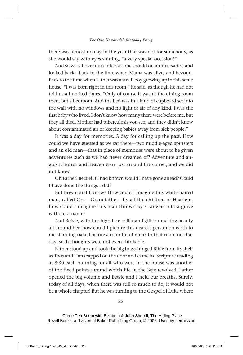there was almost no day in the year that was not for somebody, as she would say with eyes shining, "a very special occasion!"

And so we sat over our coffee, as one should on anniversaries, and looked back—back to the time when Mama was alive, and beyond. Back to the time when Father was a small boy growing up in this same house. "I was born right in this room," he said, as though he had not told us a hundred times. "Only of course it wasn't the dining room then, but a bedroom. And the bed was in a kind of cupboard set into the wall with no windows and no light or air of any kind. I was the first baby who lived. I don't know how many there were before me, but they all died. Mother had tuberculosis you see, and they didn't know about contaminated air or keeping babies away from sick people."

It was a day for memories. A day for calling up the past. How could we have guessed as we sat there—two middle-aged spinsters and an old man—that in place of memories were about to be given adventures such as we had never dreamed of? Adventure and anguish, horror and heaven were just around the corner, and we did not know.

Oh Father! Betsie! If I had known would I have gone ahead? Could I have done the things I did?

But how could I know? How could I imagine this white-haired man, called Opa—Grandfather—by all the children of Haarlem, how could I imagine this man thrown by strangers into a grave without a name?

And Betsie, with her high lace collar and gift for making beauty all around her, how could I picture this dearest person on earth to me standing naked before a roomful of men? In that room on that day, such thoughts were not even thinkable.

Father stood up and took the big brass-hinged Bible from its shelf as Toos and Hans rapped on the door and came in. Scripture reading at 8:30 each morning for all who were in the house was another of the fixed points around which life in the Beje revolved. Father opened the big volume and Betsie and I held our breaths. Surely, today of all days, when there was still so much to do, it would not be a whole chapter! But he was turning to the Gospel of Luke where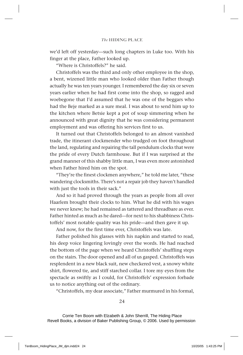we'd left off yesterday—such long chapters in Luke too. With his finger at the place, Father looked up.

"Where is Christoffels?" he said.

Christoffels was the third and only other employee in the shop, a bent, wizened little man who looked older than Father though actually he was ten years younger. I remembered the day six or seven years earlier when he had first come into the shop, so ragged and woebegone that I'd assumed that he was one of the beggars who had the Beje marked as a sure meal. I was about to send him up to the kitchen where Betsie kept a pot of soup simmering when he announced with great dignity that he was considering permanent employment and was offering his services first to us.

It turned out that Christoffels belonged to an almost vanished trade, the itinerant clockmender who trudged on foot throughout the land, regulating and repairing the tall pendulum clocks that were the pride of every Dutch farmhouse. But if I was surprised at the grand manner of this shabby little man, I was even more astonished when Father hired him on the spot.

"They're the finest clockmen anywhere," he told me later, "these wandering clocksmiths. There's not a repair job they haven't handled with just the tools in their sack."

And so it had proved through the years as people from all over Haarlem brought their clocks to him. What he did with his wages we never knew; he had remained as tattered and threadbare as ever. Father hinted as much as he dared—for next to his shabbiness Christoffels' most notable quality was his pride—and then gave it up.

And now, for the first time ever, Christoffels was late.

Father polished his glasses with his napkin and started to read, his deep voice lingering lovingly over the words. He had reached the bottom of the page when we heard Christoffels' shuffling steps on the stairs. The door opened and all of us gasped. Christoffels was resplendent in a new black suit, new checkered vest, a snowy white shirt, flowered tie, and stiff starched collar. I tore my eyes from the spectacle as swiftly as I could, for Christoffels' expression forbade us to notice anything out of the ordinary.

"Christoffels, my dear associate," Father murmured in his formal,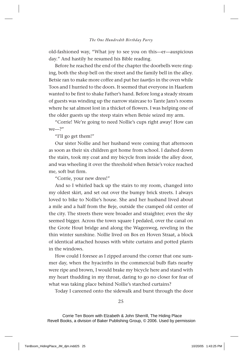old-fashioned way, "What joy to see you on this—er—auspicious day." And hastily he resumed his Bible reading.

Before he reached the end of the chapter the doorbells were ringing, both the shop bell on the street and the family bell in the alley. Betsie ran to make more coffee and put her *taartjes* in the oven while Toos and I hurried to the doors. It seemed that everyone in Haarlem wanted to be first to shake Father's hand. Before long a steady stream of guests was winding up the narrow staircase to Tante Jans's rooms where he sat almost lost in a thicket of flowers. I was helping one of the older guests up the steep stairs when Betsie seized my arm.

"Corrie! We're going to need Nollie's cups right away! How can  $we = ?''$ 

"I'll go get them!"

Our sister Nollie and her husband were coming that afternoon as soon as their six children got home from school. I dashed down the stairs, took my coat and my bicycle from inside the alley door, and was wheeling it over the threshold when Betsie's voice reached me, soft but firm.

"Corrie, your new dress!"

And so I whirled back up the stairs to my room, changed into my oldest skirt, and set out over the bumpy brick streets. I always loved to bike to Nollie's house. She and her husband lived about a mile and a half from the Beje, outside the cramped old center of the city. The streets there were broader and straighter; even the sky seemed bigger. Across the town square I pedaled, over the canal on the Grote Hout bridge and along the Wagenweg, reveling in the thin winter sunshine. Nollie lived on Bos en Hoven Straat, a block of identical attached houses with white curtains and potted plants in the windows.

How could I foresee as I zipped around the corner that one summer day, when the hyacinths in the commercial bulb flats nearby were ripe and brown, I would brake my bicycle here and stand with my heart thudding in my throat, daring to go no closer for fear of what was taking place behind Nollie's starched curtains?

Today I careened onto the sidewalk and burst through the door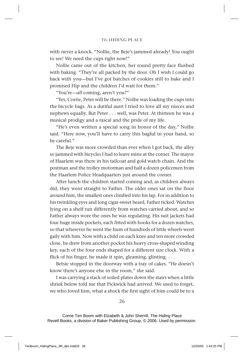with never a knock. "Nollie, the Beje's jammed already! You ought to see! We need the cups right now!"

Nollie came out of the kitchen, her round pretty face flushed with baking. "They're all packed by the door. Oh I wish I could go back with you—but I've got batches of cookies still to bake and I promised Flip and the children I'd wait for them."

"You're—*all* coming, aren't you?"

"Yes, Corrie, Peter will be there." Nollie was loading the cups into the bicycle bags. As a dutiful aunt I tried to love all my nieces and nephews equally. But Peter . . . well, was Peter. At thirteen he was a musical prodigy and a rascal and the pride of my life.

"He's even written a special song in honor of the day," Nollie said. "Here now, you'll have to carry this bagful in your hand, so be careful."

The Beje was more crowded than ever when I got back, the alley so jammed with bicycles I had to leave mine at the corner. The mayor of Haarlem was there in his tailcoat and gold watch chain. And the postman and the trolley motorman and half a dozen policemen from the Haarlem Police Headquarters just around the corner.

After lunch the children started coming and, as children always did, they went straight to Father. The older ones sat on the floor around him, the smallest ones climbed into his lap. For in addition to his twinkling eyes and long cigar-sweet beard, Father ticked. Watches lying on a shelf run differently from watches carried about, and so Father always wore the ones he was regulating. His suit jackets had four huge inside pockets, each fitted with hooks for a dozen watches, so that wherever he went the hum of hundreds of little wheels went gaily with him. Now with a child on each knee and ten more crowded close, he drew from another pocket his heavy cross-shaped winding key, each of the four ends shaped for a different size clock. With a flick of his finger, he made it spin, gleaming, glinting. . . .

Betsie stopped in the doorway with a tray of cakes. "He doesn't know there's anyone else in the room," she said.

I was carrying a stack of soiled plates down the stairs when a little shriek below told me that Pickwick had arrived. We used to forget, we who loved him, what a shock the first sight of him could be to a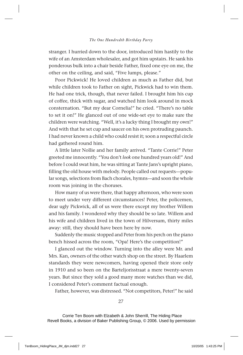stranger. I hurried down to the door, introduced him hastily to the wife of an Amsterdam wholesaler, and got him upstairs. He sank his ponderous bulk into a chair beside Father, fixed one eye on me, the other on the ceiling, and said, "Five lumps, please."

Poor Pickwick! He loved children as much as Father did, but while children took to Father on sight, Pickwick had to win them. He had one trick, though, that never failed. I brought him his cup of coffee, thick with sugar, and watched him look around in mock consternation. "But my dear Cornelia!" he cried. "There's no table to set it on!" He glanced out of one wide-set eye to make sure the children were watching. "Well, it's a lucky thing I brought my own!" And with that he set cup and saucer on his own protruding paunch. I had never known a child who could resist it; soon a respectful circle had gathered round him.

A little later Nollie and her family arrived. "Tante Corrie!" Peter greeted me innocently. "You don't *look* one hundred years old!" And before I could swat him, he was sitting at Tante Jans's upright piano, filling the old house with melody. People called out requests—popular songs, selections from Bach chorales, hymns—and soon the whole room was joining in the choruses.

How many of us were there, that happy afternoon, who were soon to meet under very different circumstances! Peter, the policemen, dear ugly Pickwick, all of us were there except my brother Willem and his family. I wondered why they should be so late. Willem and his wife and children lived in the town of Hilversum, thirty miles away: still, they should have been here by now.

Suddenly the music stopped and Peter from his perch on the piano bench hissed across the room, "Opa! Here's the competition!"

I glanced out the window. Turning into the alley were Mr. and Mrs. Kan, owners of the other watch shop on the street. By Haarlem standards they were newcomers, having opened their store only in 1910 and so been on the Barteljorisstraat a mere twenty-seven years. But since they sold a good many more watches than we did, I considered Peter's comment factual enough.

Father, however, was distressed. "Not competitors, Peter!" he said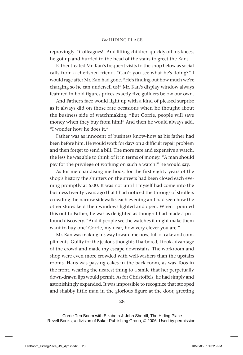reprovingly. "Colleagues!" And lifting children quickly off his knees, he got up and hurried to the head of the stairs to greet the Kans.

Father treated Mr. Kan's frequent visits to the shop below as social calls from a cherished friend. "Can't you see what he's doing?" I would rage after Mr. Kan had gone. "He's finding out how much we're charging so he can undersell us!" Mr. Kan's display window always featured in bold figures prices exactly five guilders below our own.

And Father's face would light up with a kind of pleased surprise as it always did on those rare occasions when he thought about the business side of watchmaking. "But Corrie, people will save money when they buy from him!" And then he would always add, "I wonder how he does it."

Father was as innocent of business know-how as his father had been before him. He would work for days on a difficult repair problem and then forget to send a bill. The more rare and expensive a watch, the less he was able to think of it in terms of money. "A man should pay for the privilege of working on such a watch!" he would say.

As for merchandising methods, for the first eighty years of the shop's history the shutters on the streets had been closed each evening promptly at 6:00. It was not until I myself had come into the business twenty years ago that I had noticed the throngs of strollers crowding the narrow sidewalks each evening and had seen how the other stores kept their windows lighted and open. When I pointed this out to Father, he was as delighted as though I had made a profound discovery. "And if people see the watches it might make them want to buy one! Corrie, my dear, how very clever you are!"

Mr. Kan was making his way toward me now, full of cake and compliments. Guilty for the jealous thoughts I harbored, I took advantage of the crowd and made my escape downstairs. The workroom and shop were even more crowded with well-wishers than the upstairs rooms. Hans was passing cakes in the back room, as was Toos in the front, wearing the nearest thing to a smile that her perpetually down-drawn lips would permit. As for Christoffels, he had simply and astonishingly expanded. It was impossible to recognize that stooped and shabby little man in the glorious figure at the door, greeting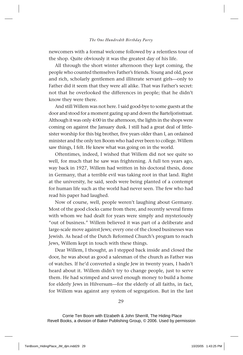newcomers with a formal welcome followed by a relentless tour of the shop. Quite obviously it was the greatest day of his life.

All through the short winter afternoon they kept coming, the people who counted themselves Father's friends. Young and old, poor and rich, scholarly gentlemen and illiterate servant girls—only to Father did it seem that they were all alike. That was Father's secret: not that he overlooked the differences in people; that he didn't know they were there.

And still Willem was not here. I said good-bye to some guests at the door and stood for a moment gazing up and down the Barteljorisstraat. Although it was only 4:00 in the afternoon, the lights in the shops were coming on against the January dusk. I still had a great deal of littlesister worship for this big brother, five years older than I, an ordained minister and the only ten Boom who had ever been to college. Willem saw things, I felt. He knew what was going on in the world.

Oftentimes, indeed, I wished that Willem did not see quite so well, for much that he saw was frightening. A full ten years ago, way back in 1927, Willem had written in his doctoral thesis, done in Germany, that a terrible evil was taking root in that land. Right at the university, he said, seeds were being planted of a contempt for human life such as the world had never seen. The few who had read his paper had laughed.

Now of course, well, people weren't laughing about Germany. Most of the good clocks came from there, and recently several firms with whom we had dealt for years were simply and mysteriously "out of business." Willem believed it was part of a deliberate and large-scale move against Jews; every one of the closed businesses was Jewish. As head of the Dutch Reformed Church's program to reach Jews, Willem kept in touch with these things.

Dear Willem, I thought, as I stepped back inside and closed the door, he was about as good a salesman of the church as Father was of watches. If he'd converted a single Jew in twenty years, I hadn't heard about it. Willem didn't try to change people, just to serve them. He had scrimped and saved enough money to build a home for elderly Jews in Hilversum—for the elderly of all faiths, in fact, for Willem was against any system of segregation. But in the last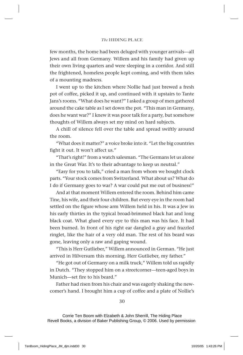few months, the home had been deluged with younger arrivals—all Jews and all from Germany. Willem and his family had given up their own living quarters and were sleeping in a corridor. And still the frightened, homeless people kept coming, and with them tales of a mounting madness.

I went up to the kitchen where Nollie had just brewed a fresh pot of coffee, picked it up, and continued with it upstairs to Tante Jans's rooms. "What does he want?" I asked a group of men gathered around the cake table as I set down the pot. "This man in Germany, does he want war?" I knew it was poor talk for a party, but somehow thoughts of Willem always set my mind on hard subjects.

A chill of silence fell over the table and spread swiftly around the room.

"What does it matter?" a voice broke into it. "Let the big countries fight it out. It won't affect us."

"That's right!" from a watch salesman. "The Germans let us alone in the Great War. It's to their advantage to keep us neutral."

"Easy for you to talk," cried a man from whom we bought clock parts. "Your stock comes from Switzerland. What about us? What do I do if Germany goes to war? A war could put me out of business!"

And at that moment Willem entered the room. Behind him came Tine, his wife, and their four children. But every eye in the room had settled on the figure whose arm Willem held in his. It was a Jew in his early thirties in the typical broad-brimmed black hat and long black coat. What glued every eye to this man was his face. It had been burned. In front of his right ear dangled a gray and frazzled ringlet, like the hair of a very old man. The rest of his beard was gone, leaving only a raw and gaping wound.

"This is Herr Gutlieber," Willem announced in German. "He just arrived in Hilversum this morning. Herr Gutlieber, my father."

"He got out of Germany on a milk truck," Willem told us rapidly in Dutch. "They stopped him on a streetcorner—teen-aged boys in Munich—set fire to his beard."

Father had risen from his chair and was eagerly shaking the newcomer's hand. I brought him a cup of coffee and a plate of Nollie's